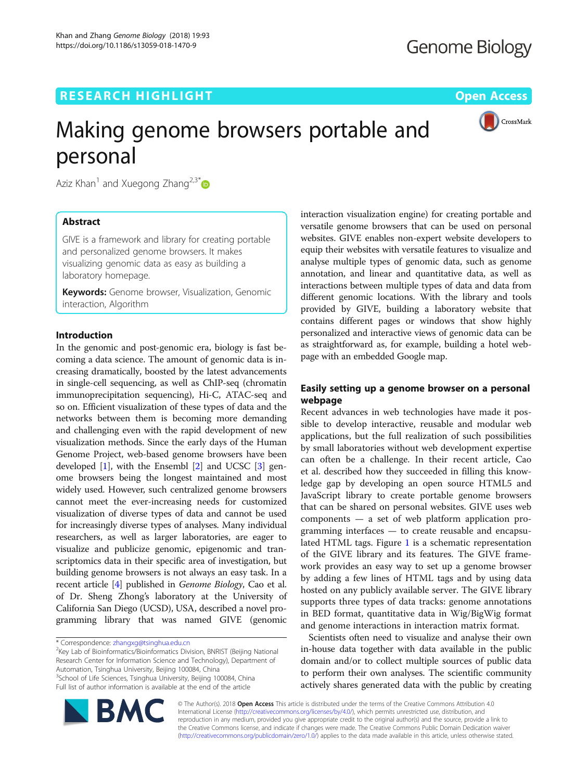## **RESEARCH HIGHLIGHT CONSUMING THE OPEN ACCESS**



# Making genome browsers portable and personal

Aziz Khan<sup>1</sup> and Xuegong Zhang<sup>2,3\*</sup>

## Abstract

GIVE is a framework and library for creating portable and personalized genome browsers. It makes visualizing genomic data as easy as building a laboratory homepage.

**Keywords:** Genome browser, Visualization, Genomic interaction, Algorithm

## Introduction

In the genomic and post-genomic era, biology is fast becoming a data science. The amount of genomic data is increasing dramatically, boosted by the latest advancements in single-cell sequencing, as well as ChIP-seq (chromatin immunoprecipitation sequencing), Hi-C, ATAC-seq and so on. Efficient visualization of these types of data and the networks between them is becoming more demanding and challenging even with the rapid development of new visualization methods. Since the early days of the Human Genome Project, web-based genome browsers have been developed  $[1]$ , with the Ensembl  $[2]$  $[2]$  and UCSC  $[3]$  $[3]$  genome browsers being the longest maintained and most widely used. However, such centralized genome browsers cannot meet the ever-increasing needs for customized visualization of diverse types of data and cannot be used for increasingly diverse types of analyses. Many individual researchers, as well as larger laboratories, are eager to visualize and publicize genomic, epigenomic and transcriptomics data in their specific area of investigation, but building genome browsers is not always an easy task. In a recent article [\[4](#page-2-0)] published in Genome Biology, Cao et al. of Dr. Sheng Zhong's laboratory at the University of California San Diego (UCSD), USA, described a novel programming library that was named GIVE (genomic

<sup>2</sup>Key Lab of Bioinformatics/Bioinformatics Division, BNRIST (Beijing National Research Center for Information Science and Technology), Department of Automation, Tsinghua University, Beijing 100084, China <sup>3</sup>School of Life Sciences, Tsinghua University, Beijing 100084, China Full list of author information is available at the end of the article

interaction visualization engine) for creating portable and versatile genome browsers that can be used on personal websites. GIVE enables non-expert website developers to equip their websites with versatile features to visualize and analyse multiple types of genomic data, such as genome annotation, and linear and quantitative data, as well as interactions between multiple types of data and data from different genomic locations. With the library and tools provided by GIVE, building a laboratory website that contains different pages or windows that show highly personalized and interactive views of genomic data can be as straightforward as, for example, building a hotel webpage with an embedded Google map.

## Easily setting up a genome browser on a personal webpage

Recent advances in web technologies have made it possible to develop interactive, reusable and modular web applications, but the full realization of such possibilities by small laboratories without web development expertise can often be a challenge. In their recent article, Cao et al. described how they succeeded in filling this knowledge gap by developing an open source HTML5 and JavaScript library to create portable genome browsers that can be shared on personal websites. GIVE uses web components — a set of web platform application programming interfaces — to create reusable and encapsulated HTML tags. Figure [1](#page-1-0) is a schematic representation of the GIVE library and its features. The GIVE framework provides an easy way to set up a genome browser by adding a few lines of HTML tags and by using data hosted on any publicly available server. The GIVE library supports three types of data tracks: genome annotations in BED format, quantitative data in Wig/BigWig format and genome interactions in interaction matrix format.

Scientists often need to visualize and analyse their own in-house data together with data available in the public domain and/or to collect multiple sources of public data to perform their own analyses. The scientific community actively shares generated data with the public by creating



© The Author(s). 2018 Open Access This article is distributed under the terms of the Creative Commons Attribution 4.0 International License [\(http://creativecommons.org/licenses/by/4.0/](http://creativecommons.org/licenses/by/4.0/)), which permits unrestricted use, distribution, and reproduction in any medium, provided you give appropriate credit to the original author(s) and the source, provide a link to the Creative Commons license, and indicate if changes were made. The Creative Commons Public Domain Dedication waiver [\(http://creativecommons.org/publicdomain/zero/1.0/](http://creativecommons.org/publicdomain/zero/1.0/)) applies to the data made available in this article, unless otherwise stated.

<sup>\*</sup> Correspondence: [zhangxg@tsinghua.edu.cn](mailto:zhangxg@tsinghua.edu.cn) <sup>2</sup>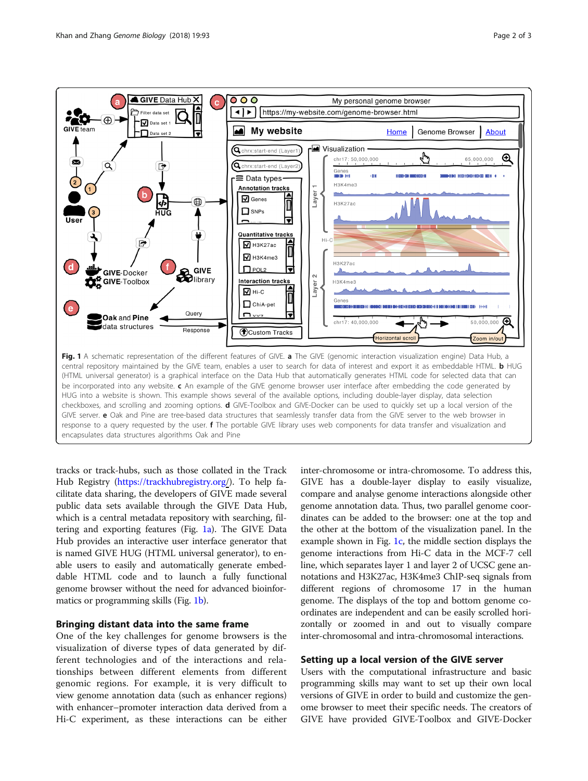<span id="page-1-0"></span>

tracks or track-hubs, such as those collated in the Track Hub Registry ([https://trackhubregistry.org/](https://trackhubregistry.org)). To help facilitate data sharing, the developers of GIVE made several public data sets available through the GIVE Data Hub, which is a central metadata repository with searching, filtering and exporting features (Fig. 1a). The GIVE Data Hub provides an interactive user interface generator that is named GIVE HUG (HTML universal generator), to enable users to easily and automatically generate embeddable HTML code and to launch a fully functional genome browser without the need for advanced bioinformatics or programming skills (Fig. 1b).

## Bringing distant data into the same frame

One of the key challenges for genome browsers is the visualization of diverse types of data generated by different technologies and of the interactions and relationships between different elements from different genomic regions. For example, it is very difficult to view genome annotation data (such as enhancer regions) with enhancer–promoter interaction data derived from a Hi-C experiment, as these interactions can be either inter-chromosome or intra-chromosome. To address this, GIVE has a double-layer display to easily visualize, compare and analyse genome interactions alongside other genome annotation data. Thus, two parallel genome coordinates can be added to the browser: one at the top and the other at the bottom of the visualization panel. In the example shown in Fig.  $1c$ , the middle section displays the genome interactions from Hi-C data in the MCF-7 cell line, which separates layer 1 and layer 2 of UCSC gene annotations and H3K27ac, H3K4me3 ChIP-seq signals from different regions of chromosome 17 in the human genome. The displays of the top and bottom genome coordinates are independent and can be easily scrolled horizontally or zoomed in and out to visually compare inter-chromosomal and intra-chromosomal interactions.

## Setting up a local version of the GIVE server

Users with the computational infrastructure and basic programming skills may want to set up their own local versions of GIVE in order to build and customize the genome browser to meet their specific needs. The creators of GIVE have provided GIVE-Toolbox and GIVE-Docker